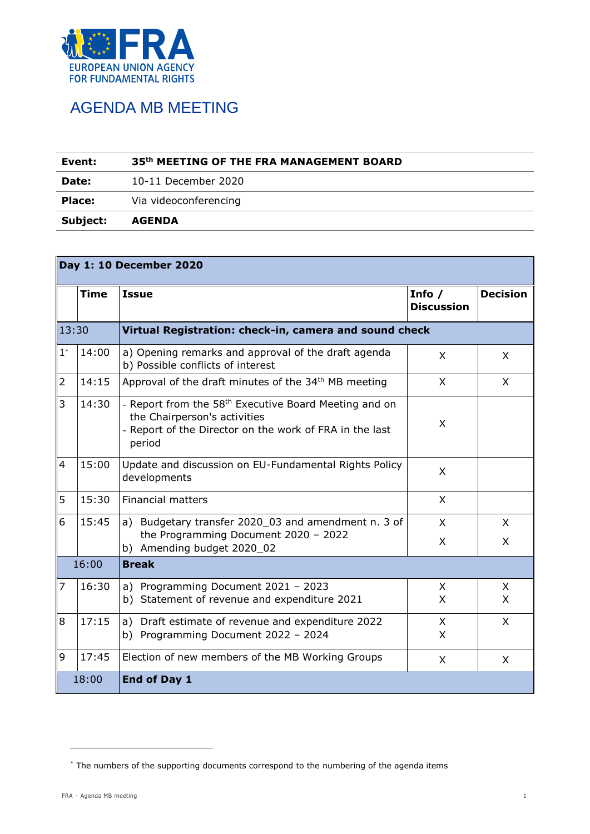

## AGENDA MB MEETING

| Event:        | 35th MEETING OF THE FRA MANAGEMENT BOARD |  |  |
|---------------|------------------------------------------|--|--|
| Date:         | 10-11 December 2020                      |  |  |
| <b>Place:</b> | Via videoconferencing                    |  |  |
| Subject:      | <b>AGENDA</b>                            |  |  |

| Day 1: 10 December 2020 |                       |                                                                                                                                                                        |                               |                 |  |  |  |
|-------------------------|-----------------------|------------------------------------------------------------------------------------------------------------------------------------------------------------------------|-------------------------------|-----------------|--|--|--|
|                         | <b>Time</b>           | <b>Issue</b>                                                                                                                                                           | Info $/$<br><b>Discussion</b> | <b>Decision</b> |  |  |  |
| 13:30                   |                       | Virtual Registration: check-in, camera and sound check                                                                                                                 |                               |                 |  |  |  |
| $1^\ast$                | 14:00                 | a) Opening remarks and approval of the draft agenda<br>b) Possible conflicts of interest                                                                               | X                             | X               |  |  |  |
| $\overline{2}$          | 14:15                 | Approval of the draft minutes of the 34 <sup>th</sup> MB meeting                                                                                                       | X                             | X               |  |  |  |
| 3                       | 14:30                 | - Report from the 58 <sup>th</sup> Executive Board Meeting and on<br>the Chairperson's activities<br>- Report of the Director on the work of FRA in the last<br>period | X                             |                 |  |  |  |
| $\overline{4}$          | 15:00                 | Update and discussion on EU-Fundamental Rights Policy<br>developments                                                                                                  | X                             |                 |  |  |  |
| 5                       | 15:30                 | <b>Financial matters</b>                                                                                                                                               | X                             |                 |  |  |  |
| 6                       | 15:45                 | a) Budgetary transfer 2020_03 and amendment n. 3 of<br>the Programming Document 2020 - 2022<br>b) Amending budget 2020_02                                              | X<br>X                        | X<br>X          |  |  |  |
|                         | 16:00<br><b>Break</b> |                                                                                                                                                                        |                               |                 |  |  |  |
| $\overline{7}$          | 16:30                 | a) Programming Document 2021 - 2023<br>b) Statement of revenue and expenditure 2021                                                                                    | X<br>X                        | X<br>X          |  |  |  |
| 8                       | 17:15                 | a) Draft estimate of revenue and expenditure 2022<br>b) Programming Document 2022 - 2024                                                                               | X<br>X                        | X               |  |  |  |
| 9                       | 17:45                 | Election of new members of the MB Working Groups                                                                                                                       | X                             | X               |  |  |  |
|                         | 18:00                 | End of Day 1                                                                                                                                                           |                               |                 |  |  |  |

-

<sup>\*</sup> The numbers of the supporting documents correspond to the numbering of the agenda items